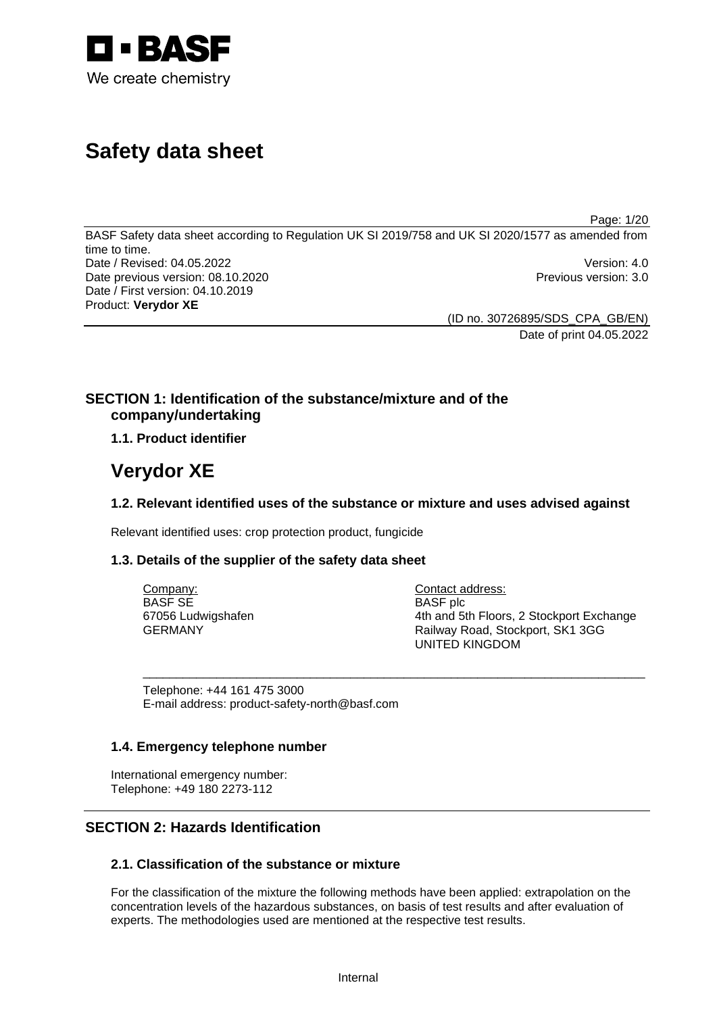

# **Safety data sheet**

Page: 1/20

BASF Safety data sheet according to Regulation UK SI 2019/758 and UK SI 2020/1577 as amended from time to time. Date / Revised: 04.05.2022 Version: 4.0 Date previous version: 08.10.2020 **Previous version: 3.0** Previous version: 3.0 Date / First version: 04.10.2019 Product: **Verydor XE** 

> (ID no. 30726895/SDS\_CPA\_GB/EN) Date of print 04.05.2022

# **SECTION 1: Identification of the substance/mixture and of the company/undertaking**

# **1.1. Product identifier**

# **Verydor XE**

# **1.2. Relevant identified uses of the substance or mixture and uses advised against**

Relevant identified uses: crop protection product, fungicide

# **1.3. Details of the supplier of the safety data sheet**

| Company:           | Contact address:                         |
|--------------------|------------------------------------------|
| <b>BASF SE</b>     | <b>BASF</b> plc                          |
| 67056 Ludwigshafen | 4th and 5th Floors, 2 Stockport Exchange |
| GERMANY            | Railway Road, Stockport, SK1 3GG         |
|                    | UNITED KINGDOM                           |

\_\_\_\_\_\_\_\_\_\_\_\_\_\_\_\_\_\_\_\_\_\_\_\_\_\_\_\_\_\_\_\_\_\_\_\_\_\_\_\_\_\_\_\_\_\_\_\_\_\_\_\_\_\_\_\_\_\_\_\_\_\_\_\_\_\_\_\_\_\_\_\_\_\_\_

Telephone: +44 161 475 3000 E-mail address: product-safety-north@basf.com

# **1.4. Emergency telephone number**

International emergency number: Telephone: +49 180 2273-112

# **SECTION 2: Hazards Identification**

# **2.1. Classification of the substance or mixture**

For the classification of the mixture the following methods have been applied: extrapolation on the concentration levels of the hazardous substances, on basis of test results and after evaluation of experts. The methodologies used are mentioned at the respective test results.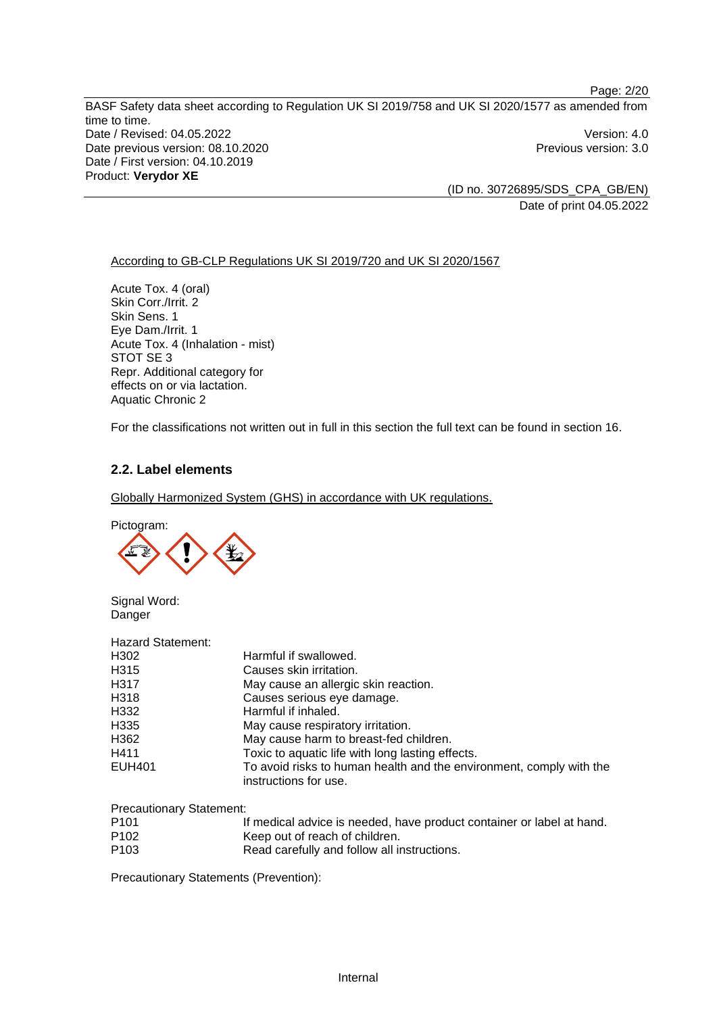Page: 2/20 BASF Safety data sheet according to Regulation UK SI 2019/758 and UK SI 2020/1577 as amended from time to time. Date / Revised: 04.05.2022 Version: 4.0 Date previous version: 08.10.2020 **Previous version: 3.0** Previous version: 3.0 Date / First version: 04.10.2019 Product: **Verydor XE** 

> (ID no. 30726895/SDS\_CPA\_GB/EN) Date of print 04.05.2022

## According to GB-CLP Regulations UK SI 2019/720 and UK SI 2020/1567

Acute Tox. 4 (oral) Skin Corr./Irrit. 2 Skin Sens. 1 Eye Dam./Irrit. 1 Acute Tox. 4 (Inhalation - mist) STOT SE 3 Repr. Additional category for effects on or via lactation. Aquatic Chronic 2

For the classifications not written out in full in this section the full text can be found in section 16.

# **2.2. Label elements**

Globally Harmonized System (GHS) in accordance with UK regulations.

Pictogram:



Signal Word: **Danger** 

| <b>Hazard Statement:</b> |                                                                                              |
|--------------------------|----------------------------------------------------------------------------------------------|
| H302                     | Harmful if swallowed.                                                                        |
| H <sub>315</sub>         | Causes skin irritation.                                                                      |
| H <sub>317</sub>         | May cause an allergic skin reaction.                                                         |
| H318                     | Causes serious eye damage.                                                                   |
| H332                     | Harmful if inhaled.                                                                          |
| H <sub>335</sub>         | May cause respiratory irritation.                                                            |
| H362                     | May cause harm to breast-fed children.                                                       |
| H411                     | Toxic to aquatic life with long lasting effects.                                             |
| <b>EUH401</b>            | To avoid risks to human health and the environment, comply with the<br>instructions for use. |
|                          |                                                                                              |

Precautionary Statement:

| P <sub>101</sub> | If medical advice is needed, have product container or label at hand. |
|------------------|-----------------------------------------------------------------------|
| P <sub>102</sub> | Keep out of reach of children.                                        |

P103 Read carefully and follow all instructions.

Precautionary Statements (Prevention):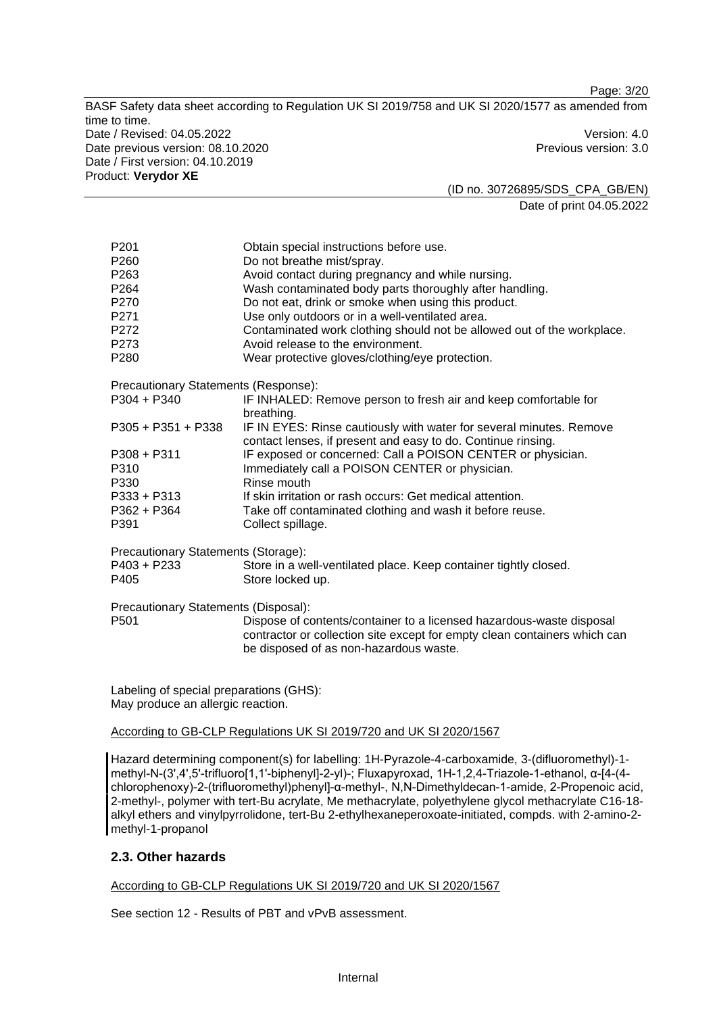Page: 3/20

BASF Safety data sheet according to Regulation UK SI 2019/758 and UK SI 2020/1577 as amended from time to time. Date / Revised: 04.05.2022 Version: 4.0 Date previous version: 08.10.2020 **Previous version: 3.0** Previous version: 3.0 Date / First version: 04.10.2019 Product: **Verydor XE** 

(ID no. 30726895/SDS\_CPA\_GB/EN) Date of print 04.05.2022

| P <sub>201</sub>                             | Obtain special instructions before use.                                                                                             |
|----------------------------------------------|-------------------------------------------------------------------------------------------------------------------------------------|
| P260                                         | Do not breathe mist/spray.                                                                                                          |
| P <sub>263</sub>                             | Avoid contact during pregnancy and while nursing.                                                                                   |
| P264                                         | Wash contaminated body parts thoroughly after handling.                                                                             |
| P270                                         | Do not eat, drink or smoke when using this product.                                                                                 |
| P271                                         | Use only outdoors or in a well-ventilated area.                                                                                     |
| P272                                         | Contaminated work clothing should not be allowed out of the workplace.                                                              |
| P273                                         | Avoid release to the environment.                                                                                                   |
| P280                                         | Wear protective gloves/clothing/eye protection.                                                                                     |
| Precautionary Statements (Response):         |                                                                                                                                     |
| $P304 + P340$                                | IF INHALED: Remove person to fresh air and keep comfortable for<br>breathing.                                                       |
| $P305 + P351 + P338$                         | IF IN EYES: Rinse cautiously with water for several minutes. Remove<br>contact lenses, if present and easy to do. Continue rinsing. |
| $P308 + P311$                                | IF exposed or concerned: Call a POISON CENTER or physician.                                                                         |
| P310                                         | Immediately call a POISON CENTER or physician.                                                                                      |
| P330                                         | Rinse mouth                                                                                                                         |
| $P333 + P313$                                | If skin irritation or rash occurs: Get medical attention.                                                                           |
| P362 + P364                                  | Take off contaminated clothing and wash it before reuse.                                                                            |
| P391                                         | Collect spillage.                                                                                                                   |
| Precautionary Statements (Storage):          |                                                                                                                                     |
| P403 + P233                                  | Store in a well-ventilated place. Keep container tightly closed.                                                                    |
| P405                                         | Store locked up.                                                                                                                    |
| Precautionary Statements (Disposal):         |                                                                                                                                     |
| P <sub>501</sub>                             | Dispose of contents/container to a licensed hazardous-waste disposal                                                                |
|                                              | contractor or collection site except for empty clean containers which can<br>be disposed of as non-hazardous waste.                 |
|                                              |                                                                                                                                     |
| $I$ obeling of anogial proporations $(CHON)$ |                                                                                                                                     |

Labeling of special preparations (GHS): May produce an allergic reaction.

## According to GB-CLP Regulations UK SI 2019/720 and UK SI 2020/1567

Hazard determining component(s) for labelling: 1H-Pyrazole-4-carboxamide, 3-(difluoromethyl)-1 methyl-N-(3',4',5'-trifluoro[1,1'-biphenyl]-2-yl)-; Fluxapyroxad, 1H-1,2,4-Triazole-1-ethanol, α-[4-(4chlorophenoxy)-2-(trifluoromethyl)phenyl]-α-methyl-, N,N-Dimethyldecan-1-amide, 2-Propenoic acid, 2-methyl-, polymer with tert-Bu acrylate, Me methacrylate, polyethylene glycol methacrylate C16-18 alkyl ethers and vinylpyrrolidone, tert-Bu 2-ethylhexaneperoxoate-initiated, compds. with 2-amino-2 methyl-1-propanol

# **2.3. Other hazards**

According to GB-CLP Regulations UK SI 2019/720 and UK SI 2020/1567

See section 12 - Results of PBT and vPvB assessment.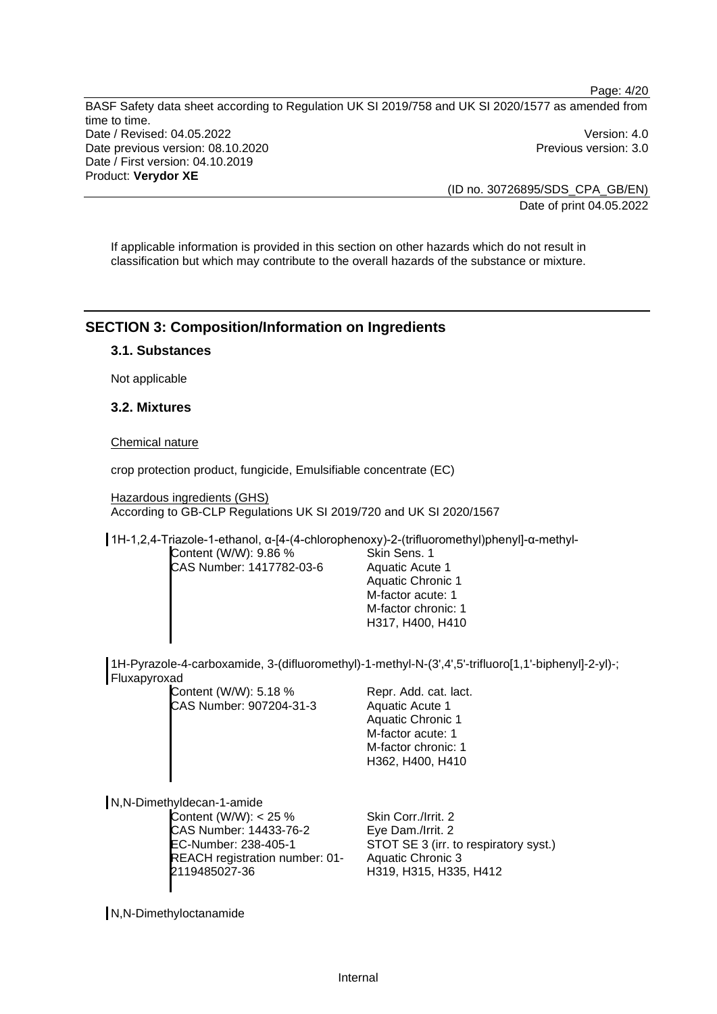Page: 4/20 BASF Safety data sheet according to Regulation UK SI 2019/758 and UK SI 2020/1577 as amended from time to time. Date / Revised: 04.05.2022 Version: 4.0 Date previous version: 08.10.2020 **Previous version: 3.0** Previous version: 3.0 Date / First version: 04.10.2019 Product: **Verydor XE** 

> (ID no. 30726895/SDS\_CPA\_GB/EN) Date of print 04.05.2022

If applicable information is provided in this section on other hazards which do not result in classification but which may contribute to the overall hazards of the substance or mixture.

# **SECTION 3: Composition/Information on Ingredients**

## **3.1. Substances**

Not applicable

## **3.2. Mixtures**

Chemical nature

crop protection product, fungicide, Emulsifiable concentrate (EC)

Hazardous ingredients (GHS) According to GB-CLP Regulations UK SI 2019/720 and UK SI 2020/1567

1H-1,2,4-Triazole-1-ethanol, α-[4-(4-chlorophenoxy)-2-(trifluoromethyl)phenyl]-α-methyl-

Content (W/W): 9.86 % CAS Number: 1417782-03-6 Skin Sens. 1 Aquatic Acute 1 Aquatic Chronic 1 M-factor acute: 1 M-factor chronic: 1 H317, H400, H410

1H-Pyrazole-4-carboxamide, 3-(difluoromethyl)-1-methyl-N-(3',4',5'-trifluoro[1,1'-biphenyl]-2-yl)-; Fluxapyroxad

Content (W/W): 5.18 % CAS Number: 907204-31-3

Repr. Add. cat. lact. Aquatic Acute 1 Aquatic Chronic 1 M-factor acute: 1 M-factor chronic: 1 H362, H400, H410

N,N-Dimethyldecan-1-amide

Content (W/W): < 25 % CAS Number: 14433-76-2 EC-Number: 238-405-1 REACH registration number: 01- 2119485027-36

Skin Corr./Irrit. 2 Eye Dam./Irrit. 2 STOT SE 3 (irr. to respiratory syst.) Aquatic Chronic 3 H319, H315, H335, H412

N,N-Dimethyloctanamide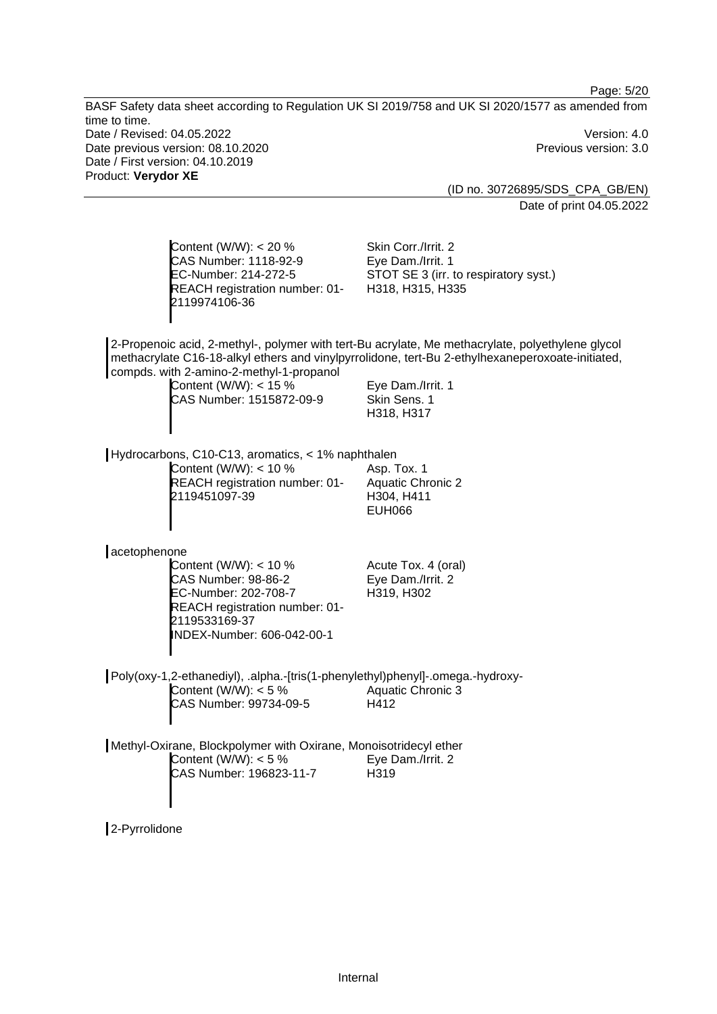Page: 5/20 BASF Safety data sheet according to Regulation UK SI 2019/758 and UK SI 2020/1577 as amended from time to time. Date / Revised: 04.05.2022 Version: 4.0 Date previous version: 08.10.2020 **Previous version: 3.0** Previous version: 3.0 Date / First version: 04.10.2019 Product: **Verydor XE**  (ID no. 30726895/SDS\_CPA\_GB/EN) Date of print 04.05.2022 Content (W/W): < 20 % CAS Number: 1118-92-9 EC-Number: 214-272-5 REACH registration number: 01- 2119974106-36 Skin Corr./Irrit. 2 Eye Dam./Irrit. 1 STOT SE 3 (irr. to respiratory syst.) H318, H315, H335 2-Propenoic acid, 2-methyl-, polymer with tert-Bu acrylate, Me methacrylate, polyethylene glycol methacrylate C16-18-alkyl ethers and vinylpyrrolidone, tert-Bu 2-ethylhexaneperoxoate-initiated, compds. with 2-amino-2-methyl-1-propanol Content (W/W):  $<$  15 % CAS Number: 1515872-09-9 Eye Dam./Irrit. 1 Skin Sens. 1 H318, H317 Hydrocarbons, C10-C13, aromatics, < 1% naphthalen Content (W/W): < 10 % REACH registration number: 01- 2119451097-39 Asp. Tox. 1 Aquatic Chronic 2 H304, H411 EUH066 acetophenone Content (W/W): < 10 % CAS Number: 98-86-2 EC-Number: 202-708-7 REACH registration number: 01- 2119533169-37 INDEX-Number: 606-042-00-1 Acute Tox. 4 (oral) Eye Dam./Irrit. 2 H319, H302 Poly(oxy-1,2-ethanediyl), .alpha.-[tris(1-phenylethyl)phenyl]-.omega.-hydroxy-Content (W/W):  $< 5 \%$ CAS Number: 99734-09-5 Aquatic Chronic 3 H412

Methyl-Oxirane, Blockpolymer with Oxirane, Monoisotridecyl ether Content (W/W):  $< 5 \%$ CAS Number: 196823-11-7 Eye Dam./Irrit. 2 H319

2-Pyrrolidone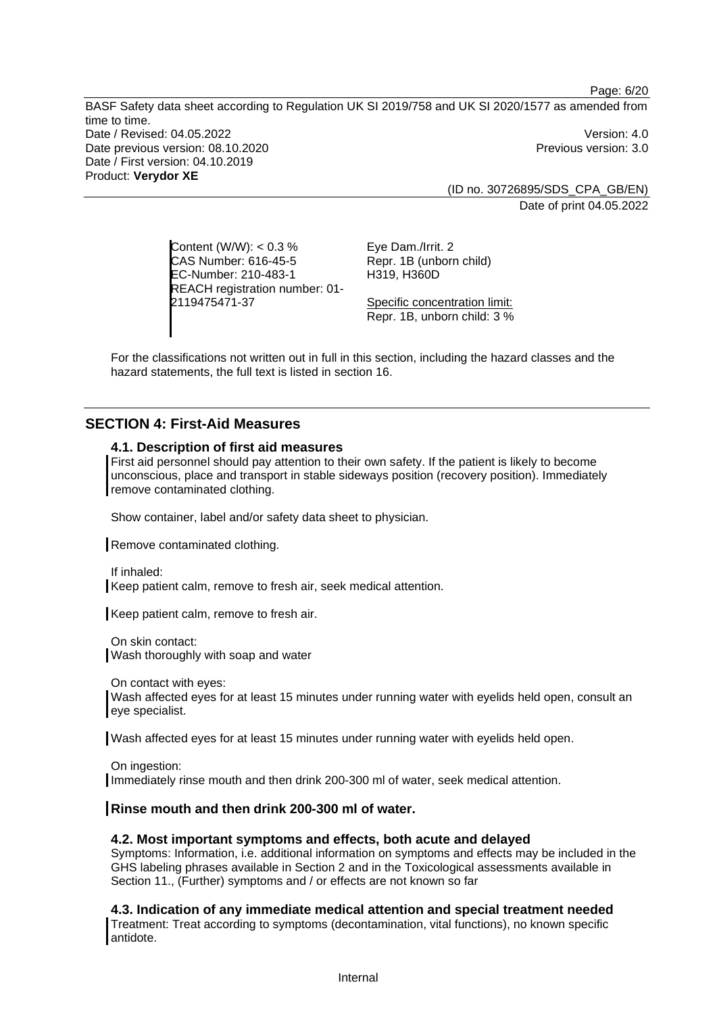BASF Safety data sheet according to Regulation UK SI 2019/758 and UK SI 2020/1577 as amended from time to time. Date / Revised: 04.05.2022 Version: 4.0 Date previous version: 08.10.2020 **Previous version: 3.0** Previous version: 3.0 Date / First version: 04.10.2019 Product: **Verydor XE** 

Page: 6/20

(ID no. 30726895/SDS\_CPA\_GB/EN) Date of print 04.05.2022

Content (W/W): < 0.3 % CAS Number: 616-45-5 EC-Number: 210-483-1 REACH registration number: 01- 2119475471-37

Eye Dam./Irrit. 2 Repr. 1B (unborn child) H319, H360D

Specific concentration limit: Repr. 1B, unborn child: 3 %

For the classifications not written out in full in this section, including the hazard classes and the hazard statements, the full text is listed in section 16.

# **SECTION 4: First-Aid Measures**

## **4.1. Description of first aid measures**

First aid personnel should pay attention to their own safety. If the patient is likely to become unconscious, place and transport in stable sideways position (recovery position). Immediately remove contaminated clothing.

Show container, label and/or safety data sheet to physician.

Remove contaminated clothing.

If inhaled:

Keep patient calm, remove to fresh air, seek medical attention.

Keep patient calm, remove to fresh air.

On skin contact: Wash thoroughly with soap and water

On contact with eyes:

Wash affected eyes for at least 15 minutes under running water with eyelids held open, consult an eye specialist.

Wash affected eyes for at least 15 minutes under running water with eyelids held open.

On ingestion: Immediately rinse mouth and then drink 200-300 ml of water, seek medical attention.

#### **Rinse mouth and then drink 200-300 ml of water.**

## **4.2. Most important symptoms and effects, both acute and delayed**

Symptoms: Information, i.e. additional information on symptoms and effects may be included in the GHS labeling phrases available in Section 2 and in the Toxicological assessments available in Section 11., (Further) symptoms and / or effects are not known so far

**4.3. Indication of any immediate medical attention and special treatment needed**  Treatment: Treat according to symptoms (decontamination, vital functions), no known specific antidote.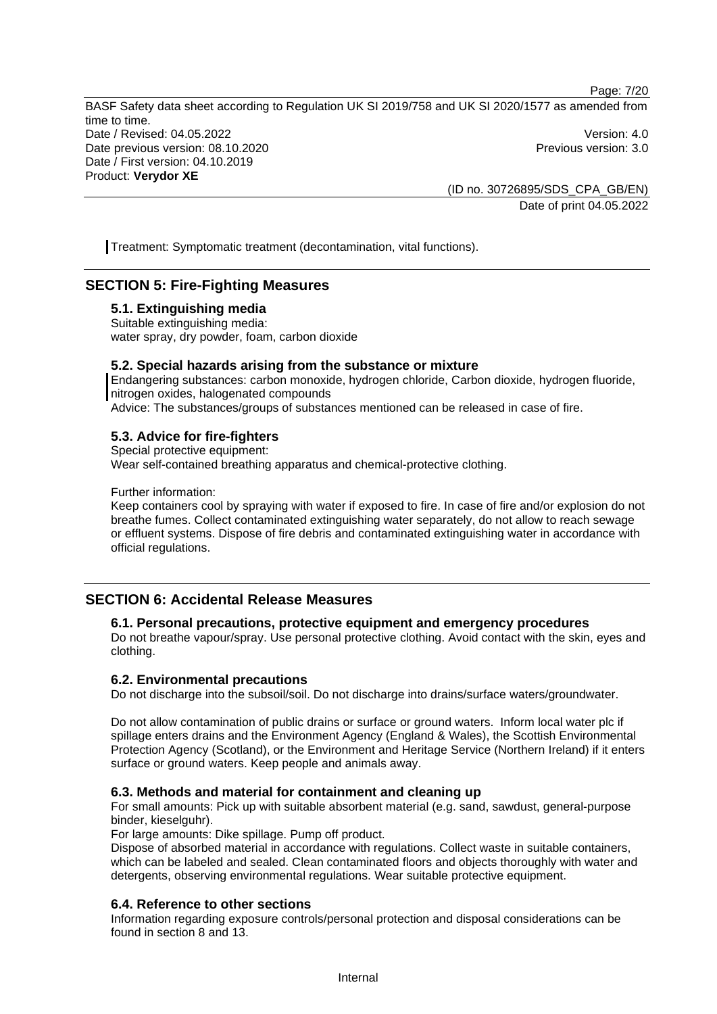Page: 7/20

BASF Safety data sheet according to Regulation UK SI 2019/758 and UK SI 2020/1577 as amended from time to time. Date / Revised: 04.05.2022 Version: 4.0 Date previous version: 08.10.2020 **Previous version: 3.0** Previous version: 3.0 Date / First version: 04.10.2019 Product: **Verydor XE** 

(ID no. 30726895/SDS\_CPA\_GB/EN) Date of print 04.05.2022

Treatment: Symptomatic treatment (decontamination, vital functions).

# **SECTION 5: Fire-Fighting Measures**

#### **5.1. Extinguishing media**

Suitable extinguishing media: water spray, dry powder, foam, carbon dioxide

#### **5.2. Special hazards arising from the substance or mixture**

Endangering substances: carbon monoxide, hydrogen chloride, Carbon dioxide, hydrogen fluoride, nitrogen oxides, halogenated compounds

Advice: The substances/groups of substances mentioned can be released in case of fire.

## **5.3. Advice for fire-fighters**

Special protective equipment:

Wear self-contained breathing apparatus and chemical-protective clothing.

Further information:

Keep containers cool by spraying with water if exposed to fire. In case of fire and/or explosion do not breathe fumes. Collect contaminated extinguishing water separately, do not allow to reach sewage or effluent systems. Dispose of fire debris and contaminated extinguishing water in accordance with official regulations.

# **SECTION 6: Accidental Release Measures**

#### **6.1. Personal precautions, protective equipment and emergency procedures**

Do not breathe vapour/spray. Use personal protective clothing. Avoid contact with the skin, eyes and clothing.

# **6.2. Environmental precautions**

Do not discharge into the subsoil/soil. Do not discharge into drains/surface waters/groundwater.

Do not allow contamination of public drains or surface or ground waters. Inform local water plc if spillage enters drains and the Environment Agency (England & Wales), the Scottish Environmental Protection Agency (Scotland), or the Environment and Heritage Service (Northern Ireland) if it enters surface or ground waters. Keep people and animals away.

#### **6.3. Methods and material for containment and cleaning up**

For small amounts: Pick up with suitable absorbent material (e.g. sand, sawdust, general-purpose binder, kieselguhr).

For large amounts: Dike spillage. Pump off product.

Dispose of absorbed material in accordance with regulations. Collect waste in suitable containers, which can be labeled and sealed. Clean contaminated floors and objects thoroughly with water and detergents, observing environmental regulations. Wear suitable protective equipment.

# **6.4. Reference to other sections**

Information regarding exposure controls/personal protection and disposal considerations can be found in section 8 and 13.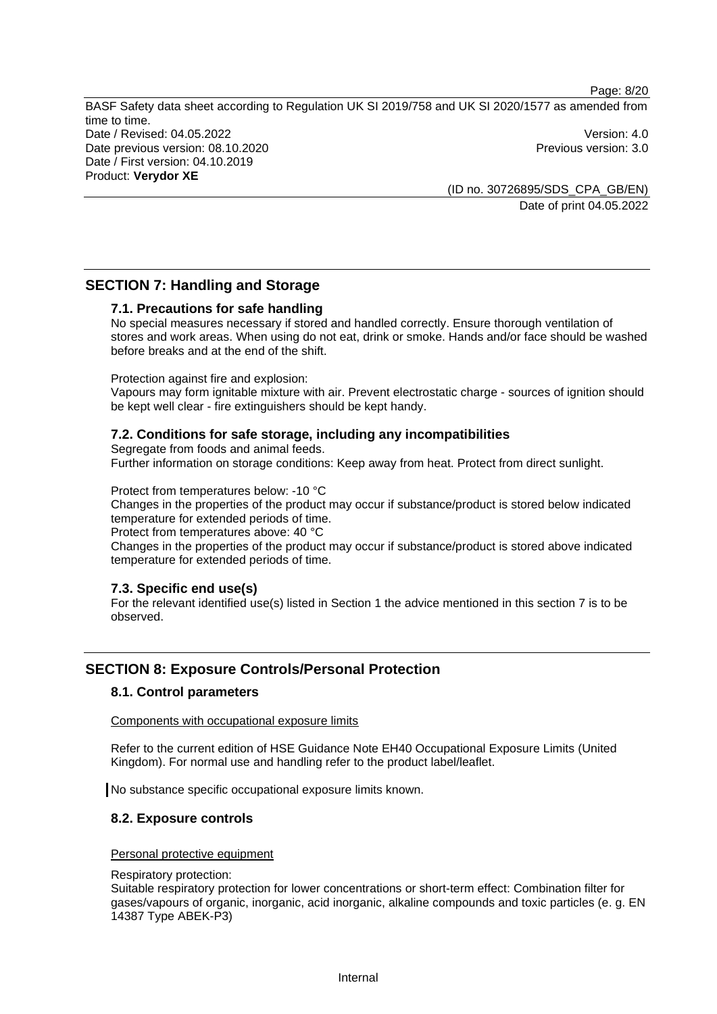Page: 8/20

BASF Safety data sheet according to Regulation UK SI 2019/758 and UK SI 2020/1577 as amended from time to time. Date / Revised: 04.05.2022 Version: 4.0 Date previous version: 08.10.2020 **Previous version: 3.0** Previous version: 3.0 Date / First version: 04.10.2019 Product: **Verydor XE** 

(ID no. 30726895/SDS\_CPA\_GB/EN) Date of print 04.05.2022

# **SECTION 7: Handling and Storage**

## **7.1. Precautions for safe handling**

No special measures necessary if stored and handled correctly. Ensure thorough ventilation of stores and work areas. When using do not eat, drink or smoke. Hands and/or face should be washed before breaks and at the end of the shift.

#### Protection against fire and explosion:

Vapours may form ignitable mixture with air. Prevent electrostatic charge - sources of ignition should be kept well clear - fire extinguishers should be kept handy.

## **7.2. Conditions for safe storage, including any incompatibilities**

Segregate from foods and animal feeds. Further information on storage conditions: Keep away from heat. Protect from direct sunlight.

Protect from temperatures below: -10 °C

Changes in the properties of the product may occur if substance/product is stored below indicated temperature for extended periods of time.

Protect from temperatures above: 40 °C

Changes in the properties of the product may occur if substance/product is stored above indicated temperature for extended periods of time.

#### **7.3. Specific end use(s)**

For the relevant identified use(s) listed in Section 1 the advice mentioned in this section 7 is to be observed.

# **SECTION 8: Exposure Controls/Personal Protection**

# **8.1. Control parameters**

Components with occupational exposure limits

Refer to the current edition of HSE Guidance Note EH40 Occupational Exposure Limits (United Kingdom). For normal use and handling refer to the product label/leaflet.

No substance specific occupational exposure limits known.

# **8.2. Exposure controls**

#### Personal protective equipment

#### Respiratory protection:

Suitable respiratory protection for lower concentrations or short-term effect: Combination filter for gases/vapours of organic, inorganic, acid inorganic, alkaline compounds and toxic particles (e. g. EN 14387 Type ABEK-P3)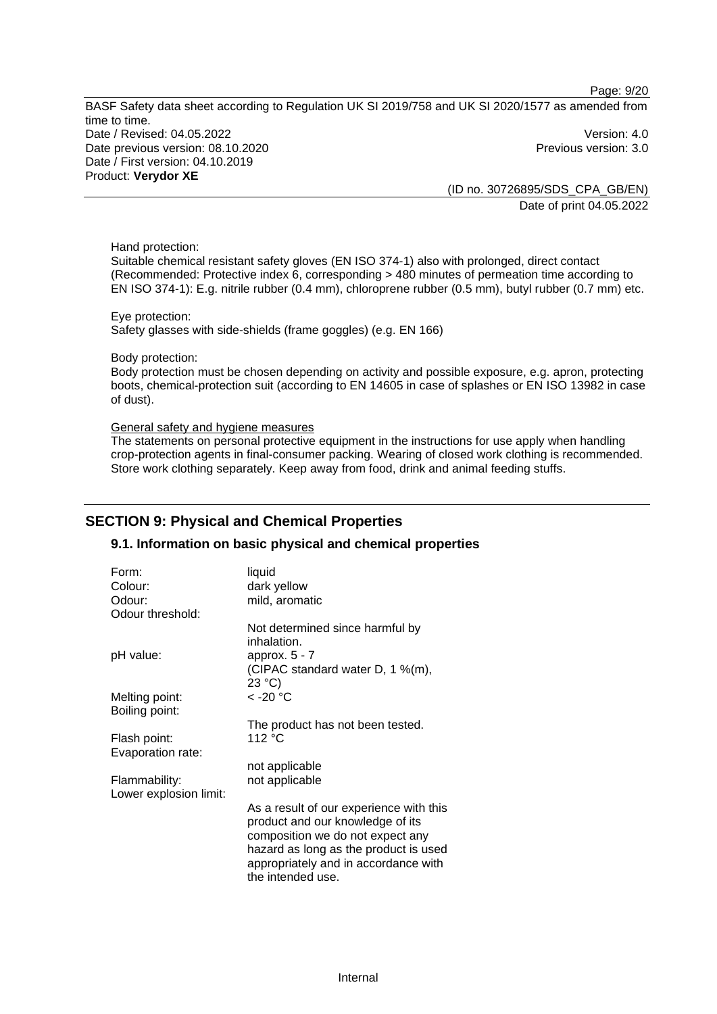Page: 9/20

BASF Safety data sheet according to Regulation UK SI 2019/758 and UK SI 2020/1577 as amended from time to time. Date / Revised: 04.05.2022 Version: 4.0 Date previous version: 08.10.2020 **Previous version: 3.0** Previous version: 3.0 Date / First version: 04.10.2019 Product: **Verydor XE** 

(ID no. 30726895/SDS\_CPA\_GB/EN) Date of print 04.05.2022

Hand protection:

Suitable chemical resistant safety gloves (EN ISO 374-1) also with prolonged, direct contact (Recommended: Protective index 6, corresponding > 480 minutes of permeation time according to EN ISO 374-1): E.g. nitrile rubber (0.4 mm), chloroprene rubber (0.5 mm), butyl rubber (0.7 mm) etc.

Eye protection: Safety glasses with side-shields (frame goggles) (e.g. EN 166)

Body protection:

Body protection must be chosen depending on activity and possible exposure, e.g. apron, protecting boots, chemical-protection suit (according to EN 14605 in case of splashes or EN ISO 13982 in case of dust).

#### General safety and hygiene measures

The statements on personal protective equipment in the instructions for use apply when handling crop-protection agents in final-consumer packing. Wearing of closed work clothing is recommended. Store work clothing separately. Keep away from food, drink and animal feeding stuffs.

# **SECTION 9: Physical and Chemical Properties**

#### **9.1. Information on basic physical and chemical properties**

| Form:                  | liquid                                                                                                          |
|------------------------|-----------------------------------------------------------------------------------------------------------------|
| Colour:                | dark yellow                                                                                                     |
| Odour:                 | mild, aromatic                                                                                                  |
| Odour threshold:       |                                                                                                                 |
|                        | Not determined since harmful by<br>inhalation.                                                                  |
| pH value:              | approx. $5 - 7$                                                                                                 |
|                        | (CIPAC standard water D, 1 %(m),<br>23 °C                                                                       |
| Melting point:         | $<$ -20 $^{\circ}$ C                                                                                            |
| Boiling point:         |                                                                                                                 |
|                        | The product has not been tested.                                                                                |
| Flash point:           | 112 °C                                                                                                          |
| Evaporation rate:      |                                                                                                                 |
|                        | not applicable                                                                                                  |
| Flammability:          | not applicable                                                                                                  |
| Lower explosion limit: |                                                                                                                 |
|                        | As a result of our experience with this<br>product and our knowledge of its<br>composition we do not expect any |
|                        | hazard as long as the product is used<br>appropriately and in accordance with<br>the intended use.              |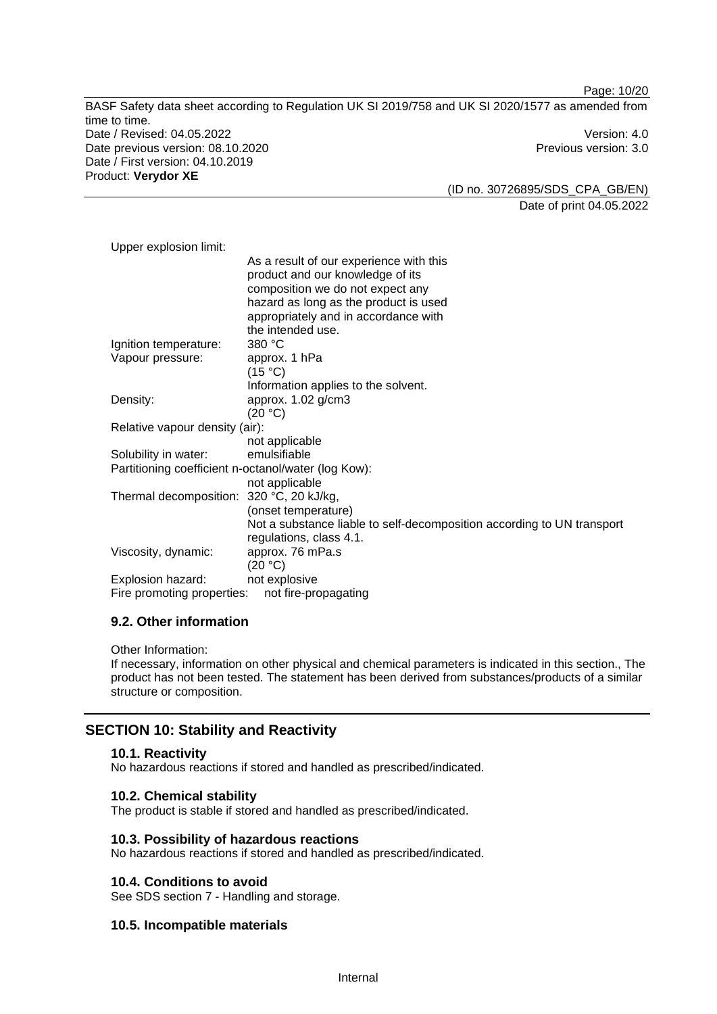Page: 10/20

BASF Safety data sheet according to Regulation UK SI 2019/758 and UK SI 2020/1577 as amended from time to time. Date / Revised: 04.05.2022 Version: 4.0 Date previous version: 08.10.2020 **Previous version: 3.0** Previous version: 3.0 Date / First version: 04.10.2019 Product: **Verydor XE** 

(ID no. 30726895/SDS\_CPA\_GB/EN) Date of print 04.05.2022

| Upper explosion limit:                              |                                                                        |  |
|-----------------------------------------------------|------------------------------------------------------------------------|--|
|                                                     | As a result of our experience with this                                |  |
|                                                     | product and our knowledge of its                                       |  |
|                                                     | composition we do not expect any                                       |  |
|                                                     | hazard as long as the product is used                                  |  |
|                                                     | appropriately and in accordance with                                   |  |
|                                                     | the intended use.                                                      |  |
| Ignition temperature:                               | 380 °C                                                                 |  |
| Vapour pressure:                                    | approx. 1 hPa                                                          |  |
|                                                     | (15 °C)                                                                |  |
|                                                     | Information applies to the solvent.                                    |  |
| Density:                                            | approx. 1.02 g/cm3                                                     |  |
|                                                     | (20 °C)                                                                |  |
| Relative vapour density (air):                      |                                                                        |  |
|                                                     | not applicable                                                         |  |
| Solubility in water:                                | emulsifiable                                                           |  |
| Partitioning coefficient n-octanol/water (log Kow): |                                                                        |  |
|                                                     | not applicable                                                         |  |
| Thermal decomposition:                              | 320 °C, 20 kJ/kg,                                                      |  |
|                                                     | (onset temperature)                                                    |  |
|                                                     | Not a substance liable to self-decomposition according to UN transport |  |
|                                                     | regulations, class 4.1.                                                |  |
| Viscosity, dynamic:                                 | approx. 76 mPa.s                                                       |  |
|                                                     | (20 °C)                                                                |  |
| Explosion hazard:                                   | not explosive                                                          |  |
| Fire promoting properties:                          | not fire-propagating                                                   |  |

# **9.2. Other information**

Other Information:

If necessary, information on other physical and chemical parameters is indicated in this section., The product has not been tested. The statement has been derived from substances/products of a similar structure or composition.

# **SECTION 10: Stability and Reactivity**

#### **10.1. Reactivity**

No hazardous reactions if stored and handled as prescribed/indicated.

## **10.2. Chemical stability**

The product is stable if stored and handled as prescribed/indicated.

## **10.3. Possibility of hazardous reactions**

No hazardous reactions if stored and handled as prescribed/indicated.

#### **10.4. Conditions to avoid**

See SDS section 7 - Handling and storage.

#### **10.5. Incompatible materials**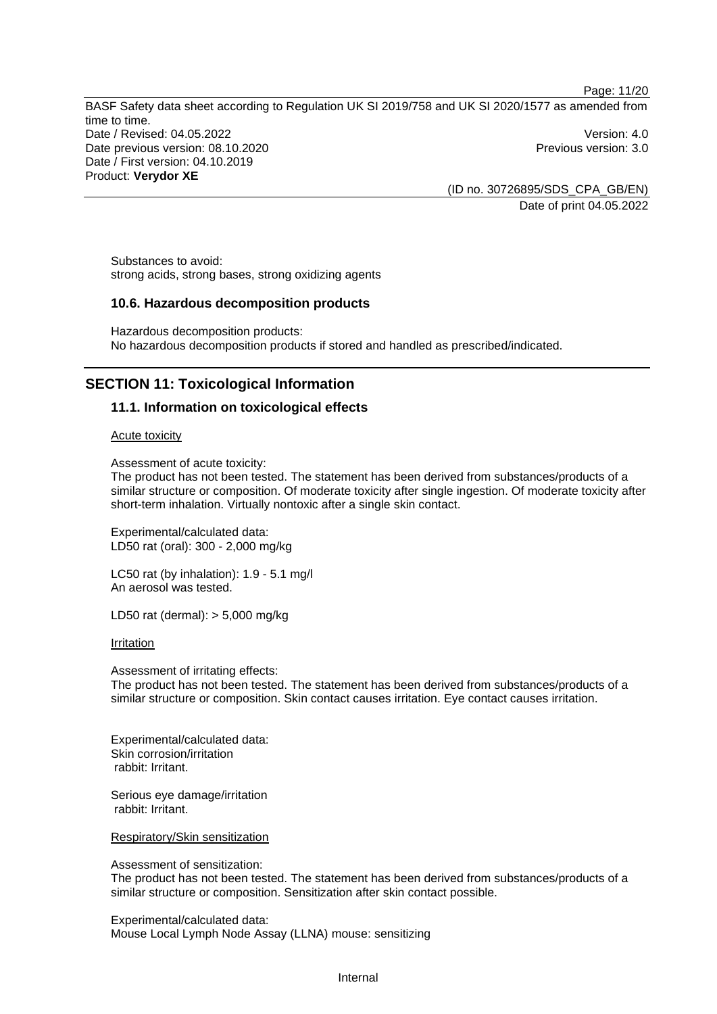Page: 11/20

BASF Safety data sheet according to Regulation UK SI 2019/758 and UK SI 2020/1577 as amended from time to time. Date / Revised: 04.05.2022 Version: 4.0 Date previous version: 08.10.2020 **Previous version: 3.0** Previous version: 3.0 Date / First version: 04.10.2019 Product: **Verydor XE** 

(ID no. 30726895/SDS\_CPA\_GB/EN) Date of print 04.05.2022

Substances to avoid: strong acids, strong bases, strong oxidizing agents

## **10.6. Hazardous decomposition products**

Hazardous decomposition products: No hazardous decomposition products if stored and handled as prescribed/indicated.

# **SECTION 11: Toxicological Information**

# **11.1. Information on toxicological effects**

Acute toxicity

Assessment of acute toxicity:

The product has not been tested. The statement has been derived from substances/products of a similar structure or composition. Of moderate toxicity after single ingestion. Of moderate toxicity after short-term inhalation. Virtually nontoxic after a single skin contact.

Experimental/calculated data: LD50 rat (oral): 300 - 2,000 mg/kg

LC50 rat (by inhalation): 1.9 - 5.1 mg/l An aerosol was tested.

LD50 rat (dermal): > 5,000 mg/kg

Irritation

Assessment of irritating effects: The product has not been tested. The statement has been derived from substances/products of a similar structure or composition. Skin contact causes irritation. Eye contact causes irritation.

Experimental/calculated data: Skin corrosion/irritation rabbit: Irritant.

Serious eye damage/irritation rabbit: Irritant.

Respiratory/Skin sensitization

Assessment of sensitization:

The product has not been tested. The statement has been derived from substances/products of a similar structure or composition. Sensitization after skin contact possible.

Experimental/calculated data: Mouse Local Lymph Node Assay (LLNA) mouse: sensitizing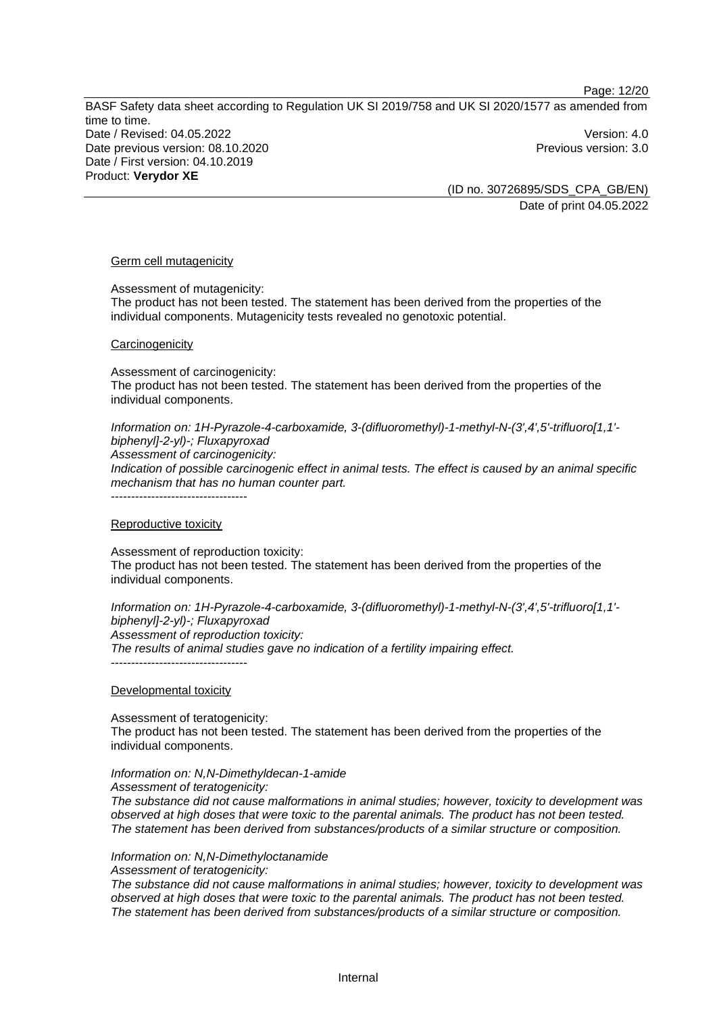Page: 12/20

BASF Safety data sheet according to Regulation UK SI 2019/758 and UK SI 2020/1577 as amended from time to time. Date / Revised: 04.05.2022 Version: 4.0 Date previous version: 08.10.2020 **Previous version: 3.0** Previous version: 3.0 Date / First version: 04.10.2019 Product: **Verydor XE** 

(ID no. 30726895/SDS\_CPA\_GB/EN) Date of print 04.05.2022

#### Germ cell mutagenicity

Assessment of mutagenicity:

The product has not been tested. The statement has been derived from the properties of the individual components. Mutagenicity tests revealed no genotoxic potential.

#### **Carcinogenicity**

Assessment of carcinogenicity: The product has not been tested. The statement has been derived from the properties of the individual components.

*Information on: 1H-Pyrazole-4-carboxamide, 3-(difluoromethyl)-1-methyl-N-(3',4',5'-trifluoro[1,1' biphenyl]-2-yl)-; Fluxapyroxad*

*Assessment of carcinogenicity:* 

*Indication of possible carcinogenic effect in animal tests. The effect is caused by an animal specific mechanism that has no human counter part.* 

----------------------------------

#### Reproductive toxicity

Assessment of reproduction toxicity: The product has not been tested. The statement has been derived from the properties of the individual components.

*Information on: 1H-Pyrazole-4-carboxamide, 3-(difluoromethyl)-1-methyl-N-(3',4',5'-trifluoro[1,1' biphenyl]-2-yl)-; Fluxapyroxad Assessment of reproduction toxicity: The results of animal studies gave no indication of a fertility impairing effect.*  -----------------------------------

Developmental toxicity

Assessment of teratogenicity: The product has not been tested. The statement has been derived from the properties of the individual components.

# *Information on: N,N-Dimethyldecan-1-amide*

*Assessment of teratogenicity:* 

*The substance did not cause malformations in animal studies; however, toxicity to development was observed at high doses that were toxic to the parental animals. The product has not been tested. The statement has been derived from substances/products of a similar structure or composition.* 

#### *Information on: N,N-Dimethyloctanamide*

*Assessment of teratogenicity:* 

*The substance did not cause malformations in animal studies; however, toxicity to development was observed at high doses that were toxic to the parental animals. The product has not been tested. The statement has been derived from substances/products of a similar structure or composition.*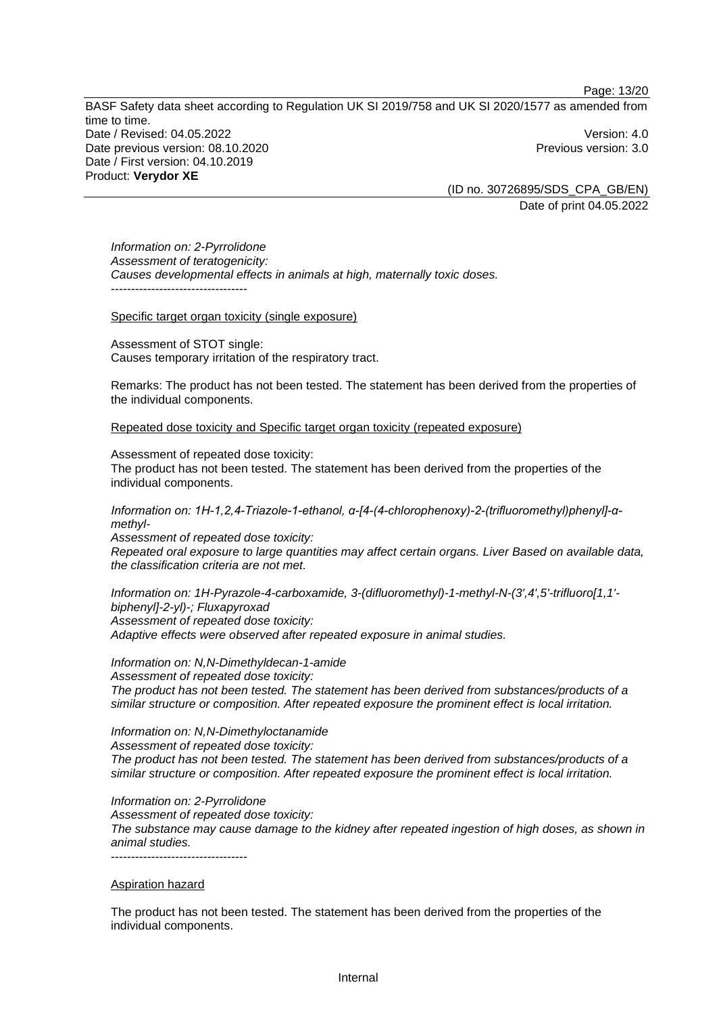Page: 13/20

BASF Safety data sheet according to Regulation UK SI 2019/758 and UK SI 2020/1577 as amended from time to time. Date / Revised: 04.05.2022 Version: 4.0 Date previous version: 08.10.2020 **Previous version: 3.0** Previous version: 3.0 Date / First version: 04.10.2019 Product: **Verydor XE** 

(ID no. 30726895/SDS\_CPA\_GB/EN) Date of print 04.05.2022

*Information on: 2-Pyrrolidone Assessment of teratogenicity: Causes developmental effects in animals at high, maternally toxic doses.*  ----------------------------------

Specific target organ toxicity (single exposure)

Assessment of STOT single: Causes temporary irritation of the respiratory tract.

Remarks: The product has not been tested. The statement has been derived from the properties of the individual components.

Repeated dose toxicity and Specific target organ toxicity (repeated exposure)

Assessment of repeated dose toxicity:

The product has not been tested. The statement has been derived from the properties of the individual components.

*Information on: 1H-1,2,4-Triazole-1-ethanol, α-[4-(4-chlorophenoxy)-2-(trifluoromethyl)phenyl]-αmethyl-*

*Assessment of repeated dose toxicity: Repeated oral exposure to large quantities may affect certain organs. Liver Based on available data, the classification criteria are not met.* 

*Information on: 1H-Pyrazole-4-carboxamide, 3-(difluoromethyl)-1-methyl-N-(3',4',5'-trifluoro[1,1' biphenyl]-2-yl)-; Fluxapyroxad Assessment of repeated dose toxicity: Adaptive effects were observed after repeated exposure in animal studies.* 

*Information on: N,N-Dimethyldecan-1-amide Assessment of repeated dose toxicity: The product has not been tested. The statement has been derived from substances/products of a similar structure or composition. After repeated exposure the prominent effect is local irritation.* 

*Information on: N,N-Dimethyloctanamide Assessment of repeated dose toxicity: The product has not been tested. The statement has been derived from substances/products of a similar structure or composition. After repeated exposure the prominent effect is local irritation.* 

*Information on: 2-Pyrrolidone Assessment of repeated dose toxicity: The substance may cause damage to the kidney after repeated ingestion of high doses, as shown in animal studies.*  ----------------------------------

Aspiration hazard

The product has not been tested. The statement has been derived from the properties of the individual components.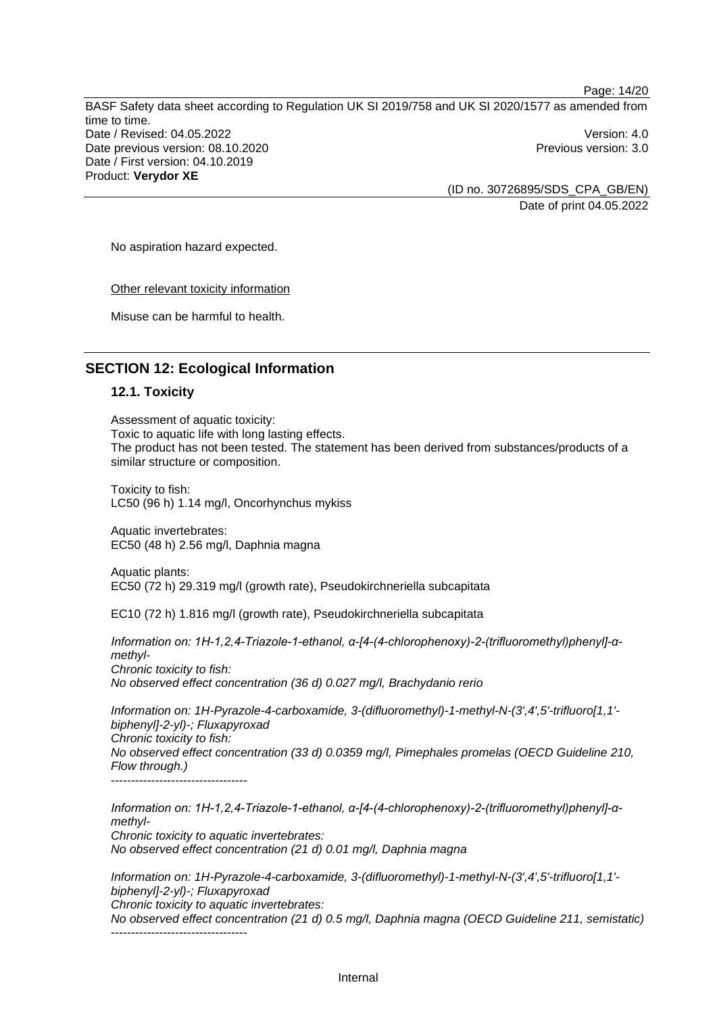Page: 14/20

BASF Safety data sheet according to Regulation UK SI 2019/758 and UK SI 2020/1577 as amended from time to time. Date / Revised: 04.05.2022 Version: 4.0 Date previous version: 08.10.2020 **Previous version: 3.0** Previous version: 3.0 Date / First version: 04.10.2019 Product: **Verydor XE** 

(ID no. 30726895/SDS\_CPA\_GB/EN) Date of print 04.05.2022

No aspiration hazard expected.

Other relevant toxicity information

Misuse can be harmful to health.

# **SECTION 12: Ecological Information**

#### **12.1. Toxicity**

Assessment of aquatic toxicity: Toxic to aquatic life with long lasting effects. The product has not been tested. The statement has been derived from substances/products of a similar structure or composition.

Toxicity to fish: LC50 (96 h) 1.14 mg/l, Oncorhynchus mykiss

Aquatic invertebrates: EC50 (48 h) 2.56 mg/l, Daphnia magna

Aquatic plants: EC50 (72 h) 29.319 mg/l (growth rate), Pseudokirchneriella subcapitata

EC10 (72 h) 1.816 mg/l (growth rate), Pseudokirchneriella subcapitata

*Information on: 1H-1,2,4-Triazole-1-ethanol, α-[4-(4-chlorophenoxy)-2-(trifluoromethyl)phenyl]-αmethyl-Chronic toxicity to fish: No observed effect concentration (36 d) 0.027 mg/l, Brachydanio rerio* 

*Information on: 1H-Pyrazole-4-carboxamide, 3-(difluoromethyl)-1-methyl-N-(3',4',5'-trifluoro[1,1' biphenyl]-2-yl)-; Fluxapyroxad Chronic toxicity to fish: No observed effect concentration (33 d) 0.0359 mg/l, Pimephales promelas (OECD Guideline 210, Flow through.)* 

----------------------------------

*Information on: 1H-1,2,4-Triazole-1-ethanol, α-[4-(4-chlorophenoxy)-2-(trifluoromethyl)phenyl]-αmethyl-Chronic toxicity to aquatic invertebrates: No observed effect concentration (21 d) 0.01 mg/l, Daphnia magna* 

*Information on: 1H-Pyrazole-4-carboxamide, 3-(difluoromethyl)-1-methyl-N-(3',4',5'-trifluoro[1,1' biphenyl]-2-yl)-; Fluxapyroxad Chronic toxicity to aquatic invertebrates: No observed effect concentration (21 d) 0.5 mg/l, Daphnia magna (OECD Guideline 211, semistatic)* 

-----------------------------------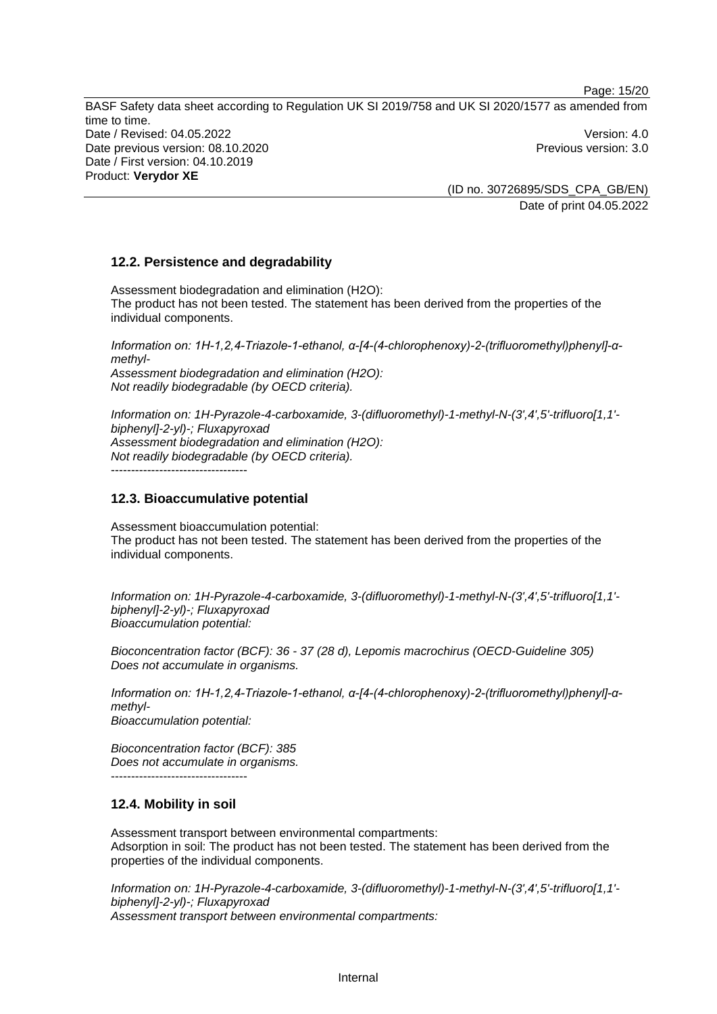Page: 15/20

BASF Safety data sheet according to Regulation UK SI 2019/758 and UK SI 2020/1577 as amended from time to time. Date / Revised: 04.05.2022 Version: 4.0 Date previous version: 08.10.2020 **Previous version: 3.0** Previous version: 3.0 Date / First version: 04.10.2019 Product: **Verydor XE** 

> (ID no. 30726895/SDS\_CPA\_GB/EN) Date of print 04.05.2022

# **12.2. Persistence and degradability**

Assessment biodegradation and elimination (H2O): The product has not been tested. The statement has been derived from the properties of the individual components.

*Information on: 1H-1,2,4-Triazole-1-ethanol, α-[4-(4-chlorophenoxy)-2-(trifluoromethyl)phenyl]-αmethyl-Assessment biodegradation and elimination (H2O): Not readily biodegradable (by OECD criteria).* 

*Information on: 1H-Pyrazole-4-carboxamide, 3-(difluoromethyl)-1-methyl-N-(3',4',5'-trifluoro[1,1' biphenyl]-2-yl)-; Fluxapyroxad Assessment biodegradation and elimination (H2O): Not readily biodegradable (by OECD criteria).* 

----------------------------------

## **12.3. Bioaccumulative potential**

Assessment bioaccumulation potential: The product has not been tested. The statement has been derived from the properties of the individual components.

*Information on: 1H-Pyrazole-4-carboxamide, 3-(difluoromethyl)-1-methyl-N-(3',4',5'-trifluoro[1,1' biphenyl]-2-yl)-; Fluxapyroxad Bioaccumulation potential:* 

*Bioconcentration factor (BCF): 36 - 37 (28 d), Lepomis macrochirus (OECD-Guideline 305) Does not accumulate in organisms.* 

*Information on: 1H-1,2,4-Triazole-1-ethanol, α-[4-(4-chlorophenoxy)-2-(trifluoromethyl)phenyl]-αmethyl-Bioaccumulation potential:* 

*Bioconcentration factor (BCF): 385 Does not accumulate in organisms.* 

# **12.4. Mobility in soil**

----------------------------------

Assessment transport between environmental compartments: Adsorption in soil: The product has not been tested. The statement has been derived from the properties of the individual components.

*Information on: 1H-Pyrazole-4-carboxamide, 3-(difluoromethyl)-1-methyl-N-(3',4',5'-trifluoro[1,1' biphenyl]-2-yl)-; Fluxapyroxad Assessment transport between environmental compartments:*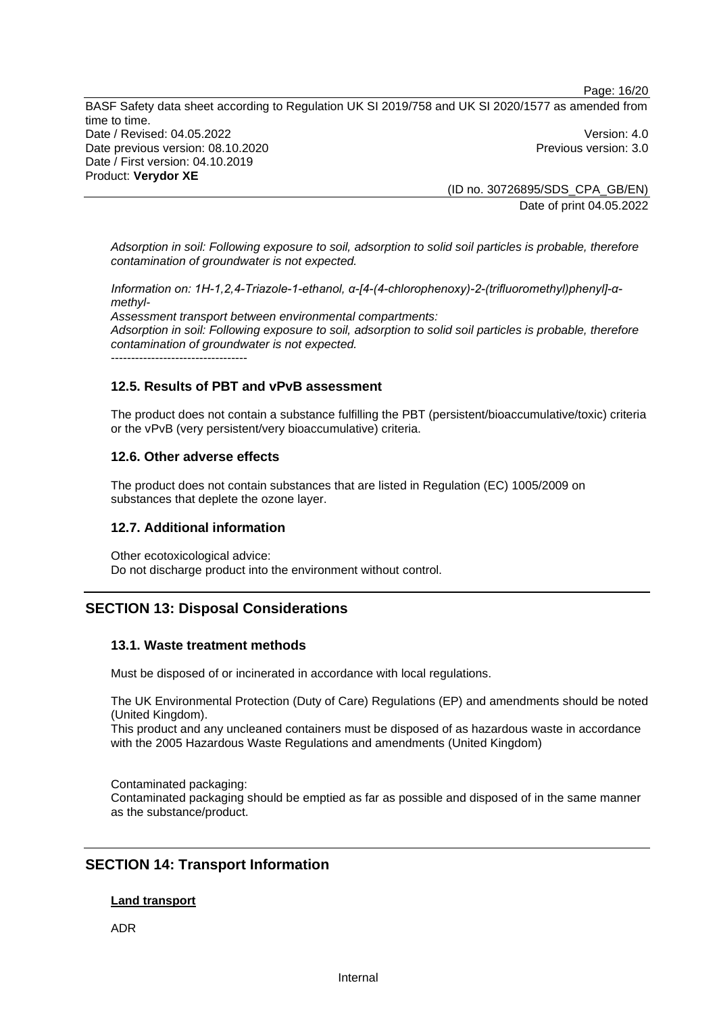Page: 16/20

BASF Safety data sheet according to Regulation UK SI 2019/758 and UK SI 2020/1577 as amended from time to time. Date / Revised: 04.05.2022 Version: 4.0 Date previous version: 08.10.2020 **Previous version: 3.0** Previous version: 3.0 Date / First version: 04.10.2019 Product: **Verydor XE** 

(ID no. 30726895/SDS\_CPA\_GB/EN) Date of print 04.05.2022

*Adsorption in soil: Following exposure to soil, adsorption to solid soil particles is probable, therefore contamination of groundwater is not expected.*

*Information on: 1H-1,2,4-Triazole-1-ethanol, α-[4-(4-chlorophenoxy)-2-(trifluoromethyl)phenyl]-αmethyl-Assessment transport between environmental compartments: Adsorption in soil: Following exposure to soil, adsorption to solid soil particles is probable, therefore contamination of groundwater is not expected.*

----------------------------------

# **12.5. Results of PBT and vPvB assessment**

The product does not contain a substance fulfilling the PBT (persistent/bioaccumulative/toxic) criteria or the vPvB (very persistent/very bioaccumulative) criteria.

# **12.6. Other adverse effects**

The product does not contain substances that are listed in Regulation (EC) 1005/2009 on substances that deplete the ozone layer.

# **12.7. Additional information**

Other ecotoxicological advice: Do not discharge product into the environment without control.

# **SECTION 13: Disposal Considerations**

# **13.1. Waste treatment methods**

Must be disposed of or incinerated in accordance with local regulations.

The UK Environmental Protection (Duty of Care) Regulations (EP) and amendments should be noted (United Kingdom).

This product and any uncleaned containers must be disposed of as hazardous waste in accordance with the 2005 Hazardous Waste Regulations and amendments (United Kingdom)

Contaminated packaging: Contaminated packaging should be emptied as far as possible and disposed of in the same manner as the substance/product.

# **SECTION 14: Transport Information**

#### **Land transport**

ADR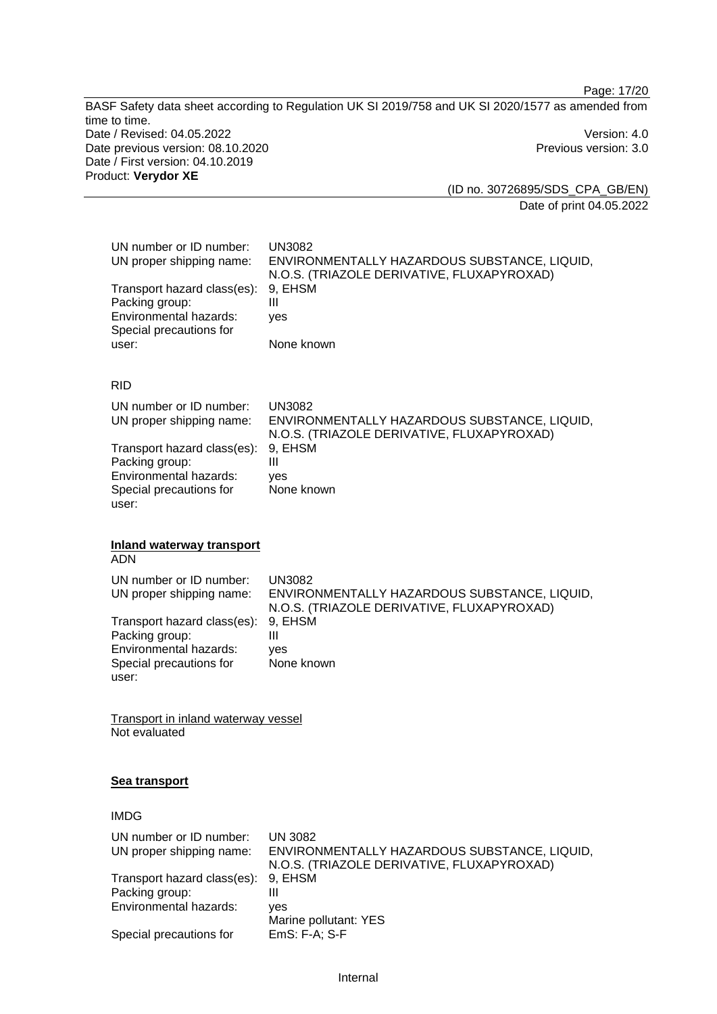Page: 17/20

BASF Safety data sheet according to Regulation UK SI 2019/758 and UK SI 2020/1577 as amended from time to time. Date / Revised: 04.05.2022 Version: 4.0 Date previous version: 08.10.2020 **Previous version: 3.0** Previous version: 3.0 Date / First version: 04.10.2019 Product: **Verydor XE** 

(ID no. 30726895/SDS\_CPA\_GB/EN) Date of print 04.05.2022

| UN number or ID number:<br>UN proper shipping name: | UN3082<br>ENVIRONMENTALLY HAZARDOUS SUBSTANCE, LIQUID,<br>N.O.S. (TRIAZOLE DERIVATIVE, FLUXAPYROXAD) |
|-----------------------------------------------------|------------------------------------------------------------------------------------------------------|
| Transport hazard class(es): 9, EHSM                 |                                                                                                      |
| Packing group:                                      | Ш                                                                                                    |
| Environmental hazards:                              | ves                                                                                                  |
| Special precautions for                             |                                                                                                      |
| user:                                               | None known                                                                                           |

#### RID

| UN number or ID number:             | <b>UN3082</b>                                |
|-------------------------------------|----------------------------------------------|
| UN proper shipping name:            | ENVIRONMENTALLY HAZARDOUS SUBSTANCE, LIQUID, |
|                                     | N.O.S. (TRIAZOLE DERIVATIVE, FLUXAPYROXAD)   |
| Transport hazard class(es): 9, EHSM |                                              |
| Packing group:                      | Ш                                            |
| <b>Environmental hazards:</b>       | ves                                          |
| Special precautions for             | None known                                   |
| user:                               |                                              |

# **Inland waterway transport**

ADN

UN number or ID number: UN3082<br>UN proper shipping name: ENVIRO ENVIRONMENTALLY HAZARDOUS SUBSTANCE, LIQUID, N.O.S. (TRIAZOLE DERIVATIVE, FLUXAPYROXAD) Transport hazard class(es): Packing group: III Environmental hazards: yes Special precautions for user: None known

Transport in inland waterway vessel Not evaluated

#### **Sea transport**

## IMDG

| UN number or ID number:<br>UN proper shipping name: | UN 3082<br>ENVIRONMENTALLY HAZARDOUS SUBSTANCE, LIQUID,<br>N.O.S. (TRIAZOLE DERIVATIVE, FLUXAPYROXAD) |
|-----------------------------------------------------|-------------------------------------------------------------------------------------------------------|
| Transport hazard class(es): 9, EHSM                 |                                                                                                       |
| Packing group:                                      |                                                                                                       |
| Environmental hazards:                              | ves<br>Marine pollutant: YES                                                                          |
| Special precautions for                             | EmS: F-A; S-F                                                                                         |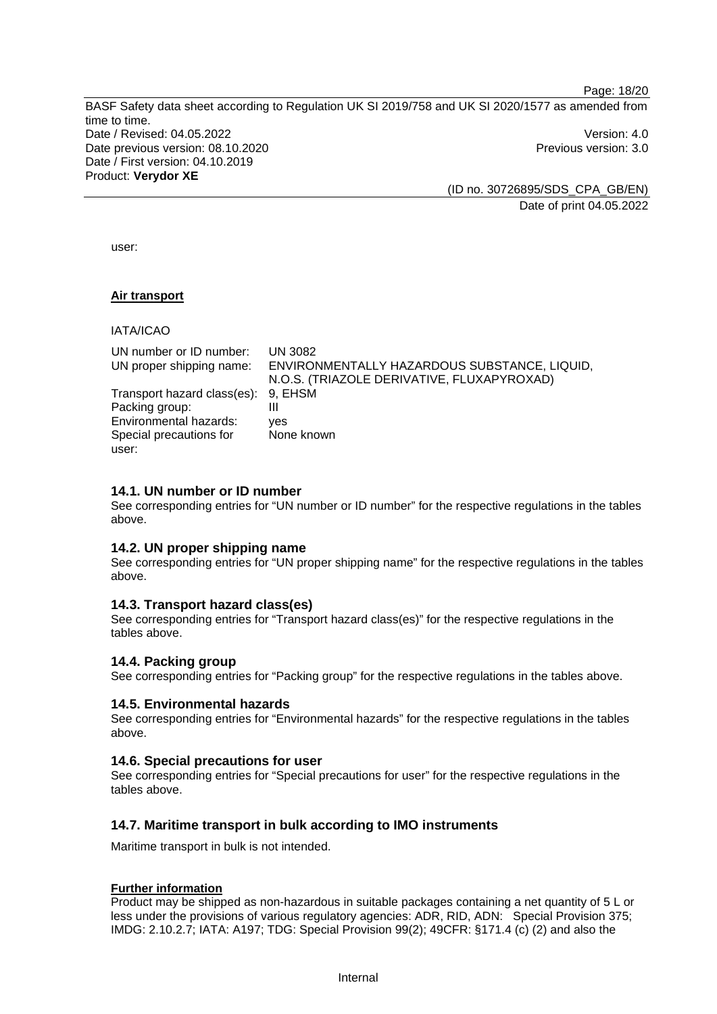Page: 18/20

BASF Safety data sheet according to Regulation UK SI 2019/758 and UK SI 2020/1577 as amended from time to time. Date / Revised: 04.05.2022 Version: 4.0 Date previous version: 08.10.2020 **Previous version: 3.0** Previous version: 3.0 Date / First version: 04.10.2019 Product: **Verydor XE** 

(ID no. 30726895/SDS\_CPA\_GB/EN) Date of print 04.05.2022

user:

#### **Air transport**

IATA/ICAO

| UN number or ID number:<br>UN proper shipping name: | UN 3082<br>ENVIRONMENTALLY HAZARDOUS SUBSTANCE, LIQUID,<br>N.O.S. (TRIAZOLE DERIVATIVE, FLUXAPYROXAD) |
|-----------------------------------------------------|-------------------------------------------------------------------------------------------------------|
| Transport hazard class(es): 9, EHSM                 |                                                                                                       |
| Packing group:                                      | Ш                                                                                                     |
| Environmental hazards:                              | ves                                                                                                   |
| Special precautions for                             | None known                                                                                            |
| user:                                               |                                                                                                       |

#### **14.1. UN number or ID number**

See corresponding entries for "UN number or ID number" for the respective regulations in the tables above.

#### **14.2. UN proper shipping name**

See corresponding entries for "UN proper shipping name" for the respective regulations in the tables above.

#### **14.3. Transport hazard class(es)**

See corresponding entries for "Transport hazard class(es)" for the respective regulations in the tables above.

#### **14.4. Packing group**

See corresponding entries for "Packing group" for the respective regulations in the tables above.

#### **14.5. Environmental hazards**

See corresponding entries for "Environmental hazards" for the respective regulations in the tables above.

#### **14.6. Special precautions for user**

See corresponding entries for "Special precautions for user" for the respective regulations in the tables above.

#### **14.7. Maritime transport in bulk according to IMO instruments**

Maritime transport in bulk is not intended.

#### **Further information**

Product may be shipped as non-hazardous in suitable packages containing a net quantity of 5 L or less under the provisions of various regulatory agencies: ADR, RID, ADN: Special Provision 375; IMDG: 2.10.2.7; IATA: A197; TDG: Special Provision 99(2); 49CFR: §171.4 (c) (2) and also the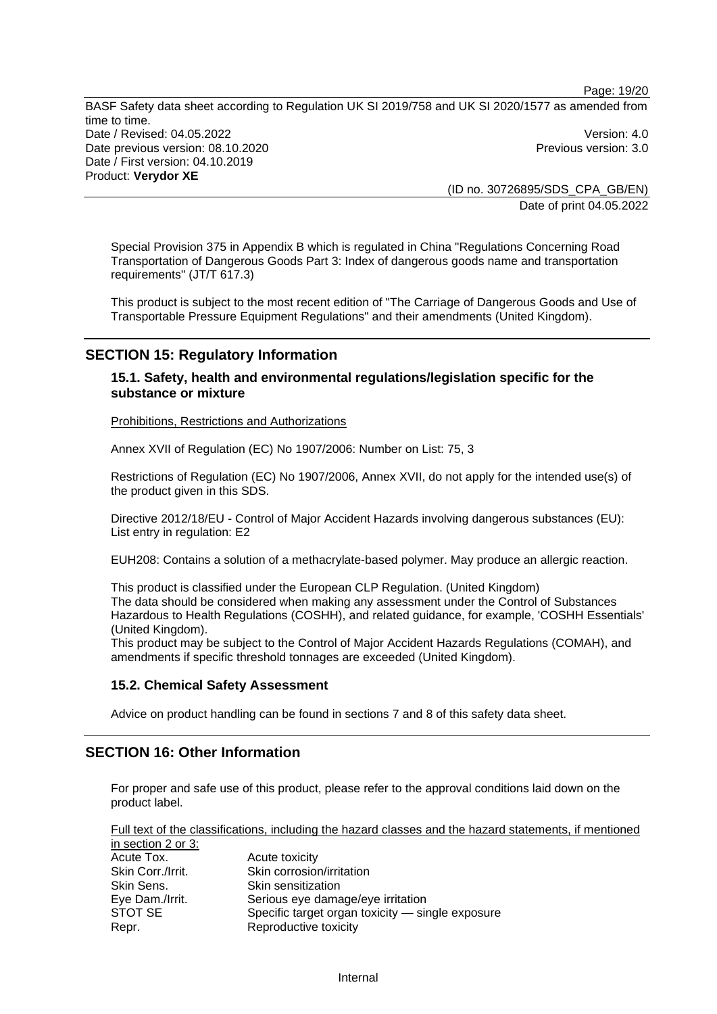Page: 19/20

BASF Safety data sheet according to Regulation UK SI 2019/758 and UK SI 2020/1577 as amended from time to time. Date / Revised: 04.05.2022 Version: 4.0 Date previous version: 08.10.2020 **Previous version: 3.0** Previous version: 3.0 Date / First version: 04.10.2019 Product: **Verydor XE** 

(ID no. 30726895/SDS\_CPA\_GB/EN) Date of print 04.05.2022

Special Provision 375 in Appendix B which is regulated in China "Regulations Concerning Road Transportation of Dangerous Goods Part 3: Index of dangerous goods name and transportation requirements" (JT/T 617.3)

This product is subject to the most recent edition of "The Carriage of Dangerous Goods and Use of Transportable Pressure Equipment Regulations" and their amendments (United Kingdom).

# **SECTION 15: Regulatory Information**

**15.1. Safety, health and environmental regulations/legislation specific for the substance or mixture**

Prohibitions, Restrictions and Authorizations

Annex XVII of Regulation (EC) No 1907/2006: Number on List: 75, 3

Restrictions of Regulation (EC) No 1907/2006, Annex XVII, do not apply for the intended use(s) of the product given in this SDS.

Directive 2012/18/EU - Control of Major Accident Hazards involving dangerous substances (EU): List entry in regulation: E2

EUH208: Contains a solution of a methacrylate-based polymer. May produce an allergic reaction.

This product is classified under the European CLP Regulation. (United Kingdom) The data should be considered when making any assessment under the Control of Substances Hazardous to Health Regulations (COSHH), and related guidance, for example, 'COSHH Essentials' (United Kingdom).

This product may be subject to the Control of Major Accident Hazards Regulations (COMAH), and amendments if specific threshold tonnages are exceeded (United Kingdom).

#### **15.2. Chemical Safety Assessment**

Advice on product handling can be found in sections 7 and 8 of this safety data sheet.

# **SECTION 16: Other Information**

For proper and safe use of this product, please refer to the approval conditions laid down on the product label.

Full text of the classifications, including the hazard classes and the hazard statements, if mentioned in section 2 or 3:

| $\overline{a}$ in outlined to $\overline{b}$ . |                                                  |
|------------------------------------------------|--------------------------------------------------|
| Acute Tox.                                     | Acute toxicity                                   |
| Skin Corr./Irrit.                              | Skin corrosion/irritation                        |
| Skin Sens.                                     | Skin sensitization                               |
| Eye Dam./Irrit.                                | Serious eye damage/eye irritation                |
| STOT SE                                        | Specific target organ toxicity - single exposure |
| Repr.                                          | Reproductive toxicity                            |
|                                                |                                                  |